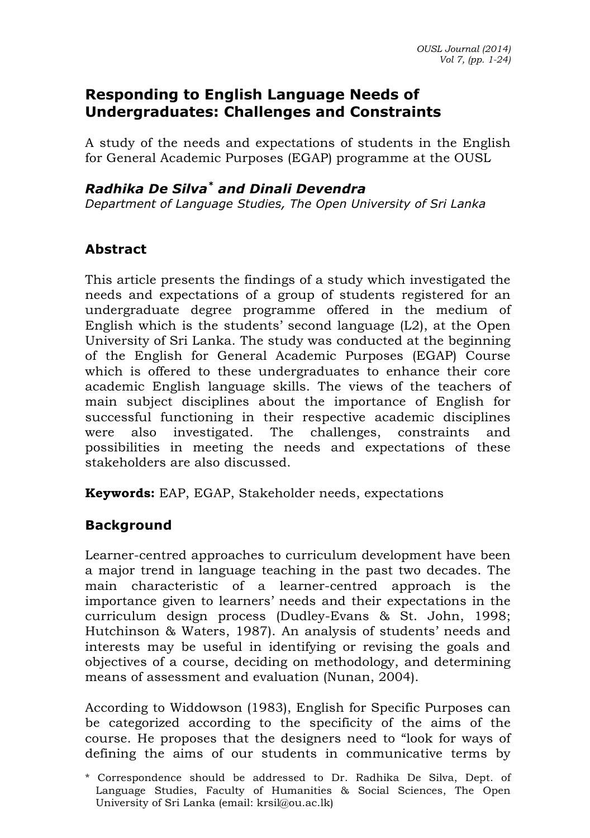### **Responding to English Language Needs of Undergraduates: Challenges and Constraints**

A study of the needs and expectations of students in the English for General Academic Purposes (EGAP) programme at the OUSL

### *Radhika De Silva\* and Dinali Devendra*

*Department of Language Studies, The Open University of Sri Lanka*

## **Abstract**

This article presents the findings of a study which investigated the needs and expectations of a group of students registered for an undergraduate degree programme offered in the medium of English which is the students' second language (L2), at the Open University of Sri Lanka. The study was conducted at the beginning of the English for General Academic Purposes (EGAP) Course which is offered to these undergraduates to enhance their core academic English language skills. The views of the teachers of main subject disciplines about the importance of English for successful functioning in their respective academic disciplines were also investigated. The challenges, constraints and possibilities in meeting the needs and expectations of these stakeholders are also discussed.

**Keywords:** EAP, EGAP, Stakeholder needs, expectations

# **Background**

Learner-centred approaches to curriculum development have been a major trend in language teaching in the past two decades. The main characteristic of a learner-centred approach is the importance given to learners' needs and their expectations in the curriculum design process (Dudley-Evans & St. John, 1998; Hutchinson & Waters, 1987). An analysis of students' needs and interests may be useful in identifying or revising the goals and objectives of a course, deciding on methodology, and determining means of assessment and evaluation (Nunan, 2004).

According to Widdowson (1983), English for Specific Purposes can be categorized according to the specificity of the aims of the course. He proposes that the designers need to "look for ways of defining the aims of our students in communicative terms by

<sup>\*</sup> Correspondence should be addressed to Dr. Radhika De Silva, Dept. of Language Studies, Faculty of Humanities & Social Sciences, The Open University of Sri Lanka (email: krsil@ou.ac.lk)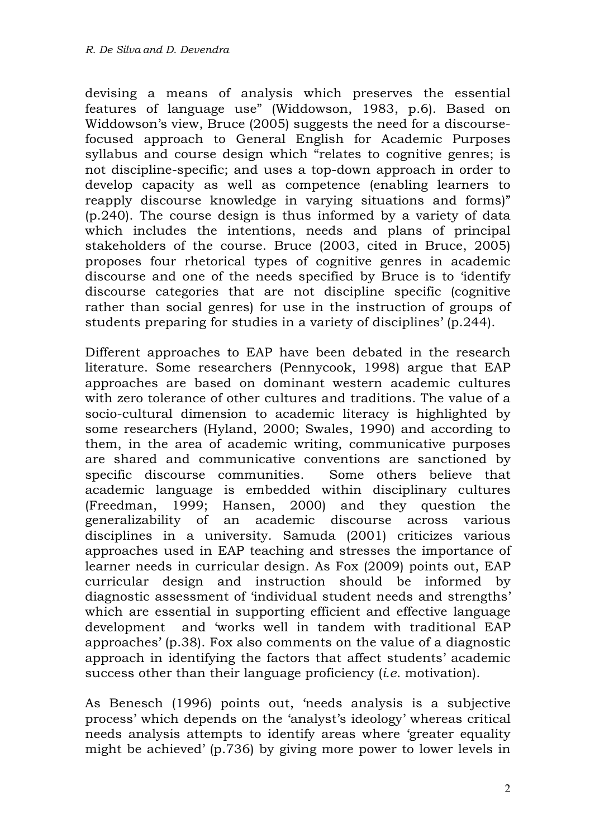devising a means of analysis which preserves the essential features of language use" (Widdowson, 1983, p.6). Based on Widdowson's view, Bruce (2005) suggests the need for a discoursefocused approach to General English for Academic Purposes syllabus and course design which "relates to cognitive genres; is not discipline-specific; and uses a top-down approach in order to develop capacity as well as competence (enabling learners to reapply discourse knowledge in varying situations and forms)" (p.240). The course design is thus informed by a variety of data which includes the intentions, needs and plans of principal stakeholders of the course. Bruce (2003, cited in Bruce, 2005) proposes four rhetorical types of cognitive genres in academic discourse and one of the needs specified by Bruce is to 'identify discourse categories that are not discipline specific (cognitive rather than social genres) for use in the instruction of groups of students preparing for studies in a variety of disciplines' (p.244).

Different approaches to EAP have been debated in the research literature. Some researchers (Pennycook, 1998) argue that EAP approaches are based on dominant western academic cultures with zero tolerance of other cultures and traditions. The value of a socio-cultural dimension to academic literacy is highlighted by some researchers (Hyland, 2000; Swales, 1990) and according to them, in the area of academic writing, communicative purposes are shared and communicative conventions are sanctioned by specific discourse communities. Some others believe that academic language is embedded within disciplinary cultures (Freedman, 1999; Hansen, 2000) and they question the generalizability of an academic discourse across various disciplines in a university. Samuda (2001) criticizes various approaches used in EAP teaching and stresses the importance of learner needs in curricular design. As Fox (2009) points out, EAP curricular design and instruction should be informed by diagnostic assessment of 'individual student needs and strengths' which are essential in supporting efficient and effective language development and 'works well in tandem with traditional EAP approaches' (p.38). Fox also comments on the value of a diagnostic approach in identifying the factors that affect students' academic success other than their language proficiency (*i.e*. motivation).

As Benesch (1996) points out, 'needs analysis is a subjective process' which depends on the 'analyst's ideology' whereas critical needs analysis attempts to identify areas where 'greater equality might be achieved' (p.736) by giving more power to lower levels in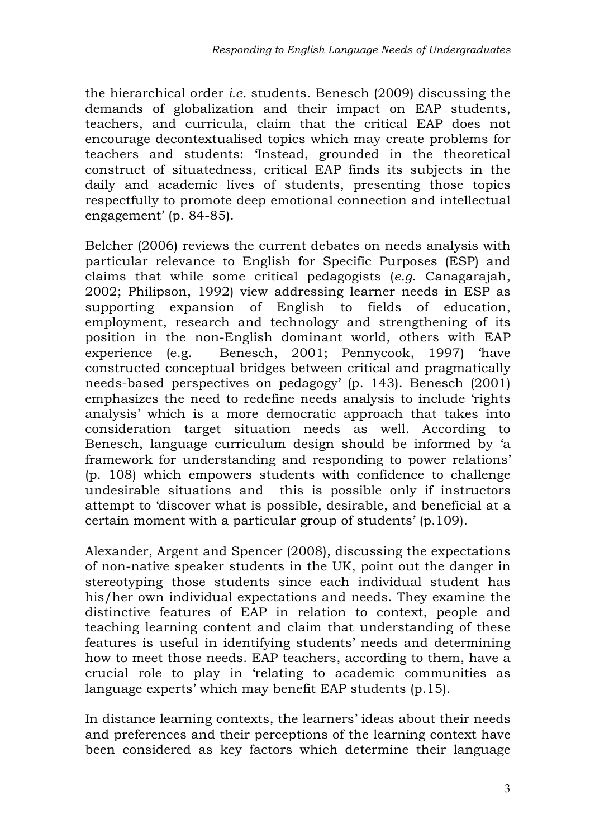the hierarchical order *i.e.* students. Benesch (2009) discussing the demands of globalization and their impact on EAP students, teachers, and curricula, claim that the critical EAP does not encourage decontextualised topics which may create problems for teachers and students: 'Instead, grounded in the theoretical construct of situatedness, critical EAP finds its subjects in the daily and academic lives of students, presenting those topics respectfully to promote deep emotional connection and intellectual engagement' (p. 84-85).

Belcher (2006) reviews the current debates on needs analysis with particular relevance to English for Specific Purposes (ESP) and claims that while some critical pedagogists (*e.g*. Canagarajah, 2002; Philipson, 1992) view addressing learner needs in ESP as supporting expansion of English to fields of education, employment, research and technology and strengthening of its position in the non-English dominant world, others with EAP experience (e.g. Benesch, 2001; Pennycook, 1997) 'have constructed conceptual bridges between critical and pragmatically needs-based perspectives on pedagogy' (p. 143). Benesch (2001) emphasizes the need to redefine needs analysis to include 'rights analysis' which is a more democratic approach that takes into consideration target situation needs as well. According to Benesch, language curriculum design should be informed by 'a framework for understanding and responding to power relations' (p. 108) which empowers students with confidence to challenge undesirable situations and this is possible only if instructors attempt to 'discover what is possible, desirable, and beneficial at a certain moment with a particular group of students' (p.109).

Alexander, Argent and Spencer (2008), discussing the expectations of non-native speaker students in the UK, point out the danger in stereotyping those students since each individual student has his/her own individual expectations and needs. They examine the distinctive features of EAP in relation to context, people and teaching learning content and claim that understanding of these features is useful in identifying students' needs and determining how to meet those needs. EAP teachers, according to them, have a crucial role to play in 'relating to academic communities as language experts' which may benefit EAP students (p.15).

In distance learning contexts, the learners' ideas about their needs and preferences and their perceptions of the learning context have been considered as key factors which determine their language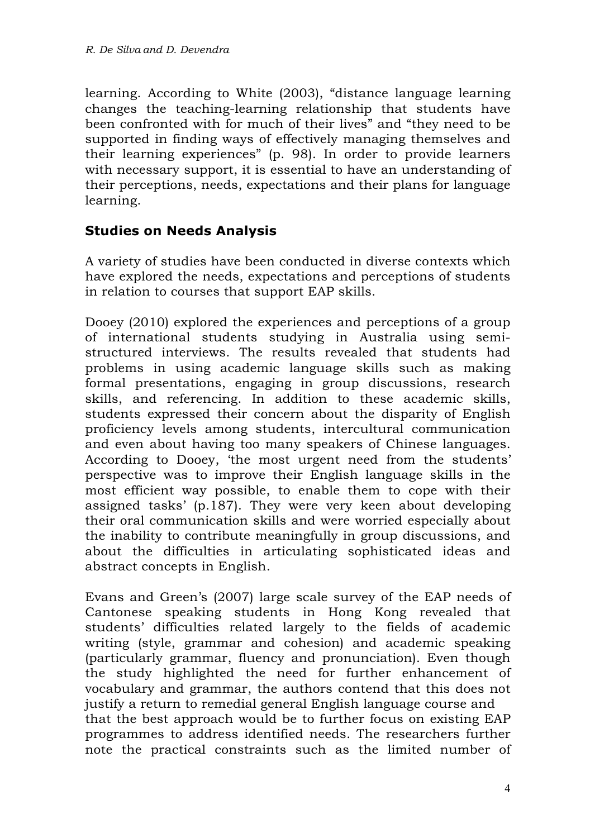learning. According to White (2003), "distance language learning changes the teaching-learning relationship that students have been confronted with for much of their lives" and "they need to be supported in finding ways of effectively managing themselves and their learning experiences" (p. 98). In order to provide learners with necessary support, it is essential to have an understanding of their perceptions, needs, expectations and their plans for language learning.

## **Studies on Needs Analysis**

A variety of studies have been conducted in diverse contexts which have explored the needs, expectations and perceptions of students in relation to courses that support EAP skills.

Dooey (2010) explored the experiences and perceptions of a group of international students studying in Australia using semistructured interviews. The results revealed that students had problems in using academic language skills such as making formal presentations, engaging in group discussions, research skills, and referencing. In addition to these academic skills, students expressed their concern about the disparity of English proficiency levels among students, intercultural communication and even about having too many speakers of Chinese languages. According to Dooey, 'the most urgent need from the students' perspective was to improve their English language skills in the most efficient way possible, to enable them to cope with their assigned tasks' (p.187). They were very keen about developing their oral communication skills and were worried especially about the inability to contribute meaningfully in group discussions, and about the difficulties in articulating sophisticated ideas and abstract concepts in English.

Evans and Green's (2007) large scale survey of the EAP needs of Cantonese speaking students in Hong Kong revealed that students' difficulties related largely to the fields of academic writing (style, grammar and cohesion) and academic speaking (particularly grammar, fluency and pronunciation). Even though the study highlighted the need for further enhancement of vocabulary and grammar, the authors contend that this does not justify a return to remedial general English language course and that the best approach would be to further focus on existing EAP programmes to address identified needs. The researchers further note the practical constraints such as the limited number of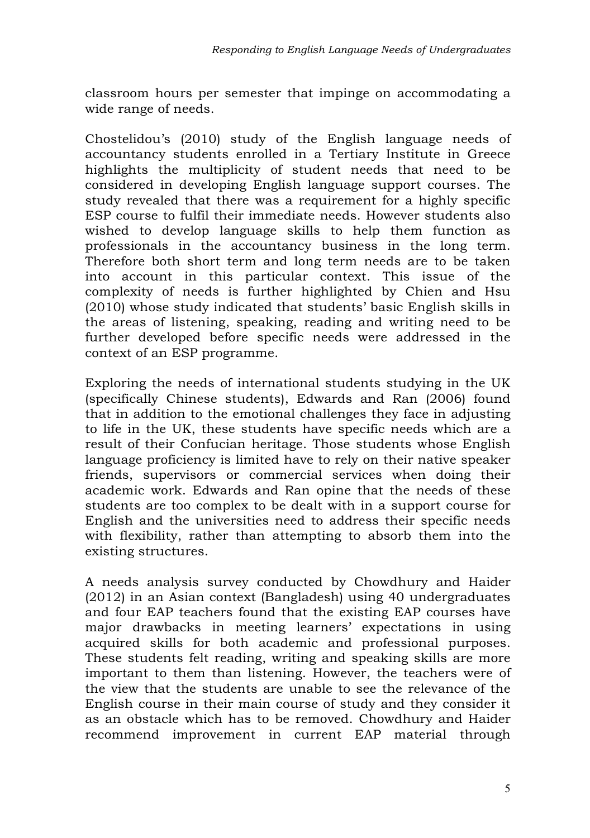classroom hours per semester that impinge on accommodating a wide range of needs.

Chostelidou's (2010) study of the English language needs of accountancy students enrolled in a Tertiary Institute in Greece highlights the multiplicity of student needs that need to be considered in developing English language support courses. The study revealed that there was a requirement for a highly specific ESP course to fulfil their immediate needs. However students also wished to develop language skills to help them function as professionals in the accountancy business in the long term. Therefore both short term and long term needs are to be taken into account in this particular context. This issue of the complexity of needs is further highlighted by Chien and Hsu (2010) whose study indicated that students' basic English skills in the areas of listening, speaking, reading and writing need to be further developed before specific needs were addressed in the context of an ESP programme.

Exploring the needs of international students studying in the UK (specifically Chinese students), Edwards and Ran (2006) found that in addition to the emotional challenges they face in adjusting to life in the UK, these students have specific needs which are a result of their Confucian heritage. Those students whose English language proficiency is limited have to rely on their native speaker friends, supervisors or commercial services when doing their academic work. Edwards and Ran opine that the needs of these students are too complex to be dealt with in a support course for English and the universities need to address their specific needs with flexibility, rather than attempting to absorb them into the existing structures.

A needs analysis survey conducted by Chowdhury and Haider (2012) in an Asian context (Bangladesh) using 40 undergraduates and four EAP teachers found that the existing EAP courses have major drawbacks in meeting learners' expectations in using acquired skills for both academic and professional purposes. These students felt reading, writing and speaking skills are more important to them than listening. However, the teachers were of the view that the students are unable to see the relevance of the English course in their main course of study and they consider it as an obstacle which has to be removed. Chowdhury and Haider recommend improvement in current EAP material through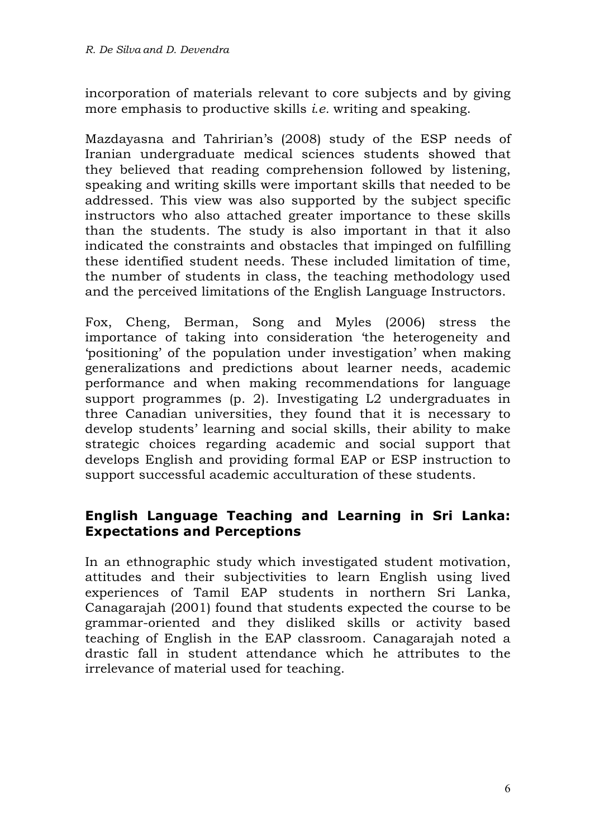incorporation of materials relevant to core subjects and by giving more emphasis to productive skills *i.e.* writing and speaking.

Mazdayasna and Tahririan's (2008) study of the ESP needs of Iranian undergraduate medical sciences students showed that they believed that reading comprehension followed by listening, speaking and writing skills were important skills that needed to be addressed. This view was also supported by the subject specific instructors who also attached greater importance to these skills than the students. The study is also important in that it also indicated the constraints and obstacles that impinged on fulfilling these identified student needs. These included limitation of time, the number of students in class, the teaching methodology used and the perceived limitations of the English Language Instructors.

Fox, Cheng, Berman, Song and Myles (2006) stress the importance of taking into consideration 'the heterogeneity and 'positioning' of the population under investigation' when making generalizations and predictions about learner needs, academic performance and when making recommendations for language support programmes (p. 2). Investigating L2 undergraduates in three Canadian universities, they found that it is necessary to develop students' learning and social skills, their ability to make strategic choices regarding academic and social support that develops English and providing formal EAP or ESP instruction to support successful academic acculturation of these students.

### **English Language Teaching and Learning in Sri Lanka: Expectations and Perceptions**

In an ethnographic study which investigated student motivation, attitudes and their subjectivities to learn English using lived experiences of Tamil EAP students in northern Sri Lanka, Canagarajah (2001) found that students expected the course to be grammar-oriented and they disliked skills or activity based teaching of English in the EAP classroom. Canagarajah noted a drastic fall in student attendance which he attributes to the irrelevance of material used for teaching.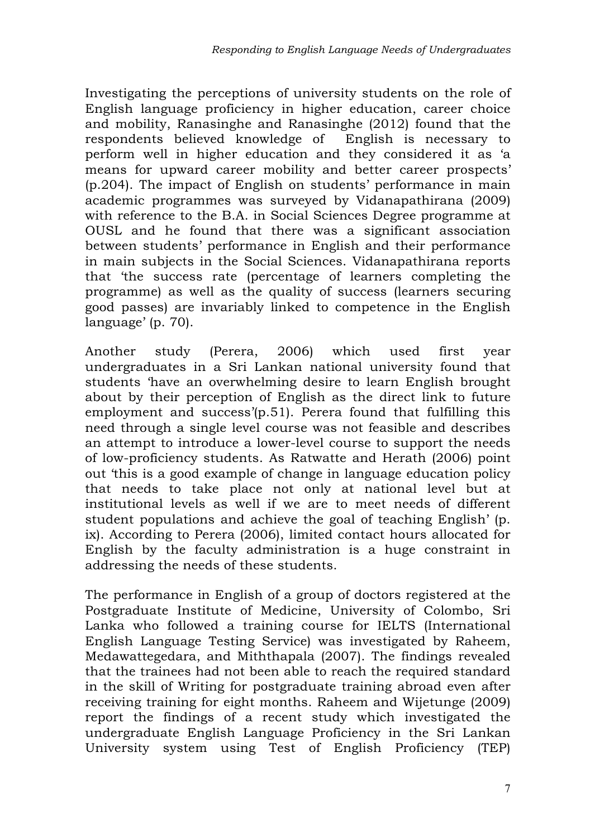Investigating the perceptions of university students on the role of English language proficiency in higher education, career choice and mobility, Ranasinghe and Ranasinghe (2012) found that the respondents believed knowledge of English is necessary to perform well in higher education and they considered it as 'a means for upward career mobility and better career prospects' (p.204). The impact of English on students' performance in main academic programmes was surveyed by Vidanapathirana (2009) with reference to the B.A. in Social Sciences Degree programme at OUSL and he found that there was a significant association between students' performance in English and their performance in main subjects in the Social Sciences. Vidanapathirana reports that 'the success rate (percentage of learners completing the programme) as well as the quality of success (learners securing good passes) are invariably linked to competence in the English language' (p. 70).

Another study (Perera, 2006) which used first year undergraduates in a Sri Lankan national university found that students 'have an overwhelming desire to learn English brought about by their perception of English as the direct link to future employment and success'(p.51). Perera found that fulfilling this need through a single level course was not feasible and describes an attempt to introduce a lower-level course to support the needs of low-proficiency students. As Ratwatte and Herath (2006) point out 'this is a good example of change in language education policy that needs to take place not only at national level but at institutional levels as well if we are to meet needs of different student populations and achieve the goal of teaching English' (p. ix). According to Perera (2006), limited contact hours allocated for English by the faculty administration is a huge constraint in addressing the needs of these students.

The performance in English of a group of doctors registered at the Postgraduate Institute of Medicine, University of Colombo, Sri Lanka who followed a training course for IELTS (International English Language Testing Service) was investigated by Raheem, Medawattegedara, and Miththapala (2007). The findings revealed that the trainees had not been able to reach the required standard in the skill of Writing for postgraduate training abroad even after receiving training for eight months. Raheem and Wijetunge (2009) report the findings of a recent study which investigated the undergraduate English Language Proficiency in the Sri Lankan University system using Test of English Proficiency (TEP)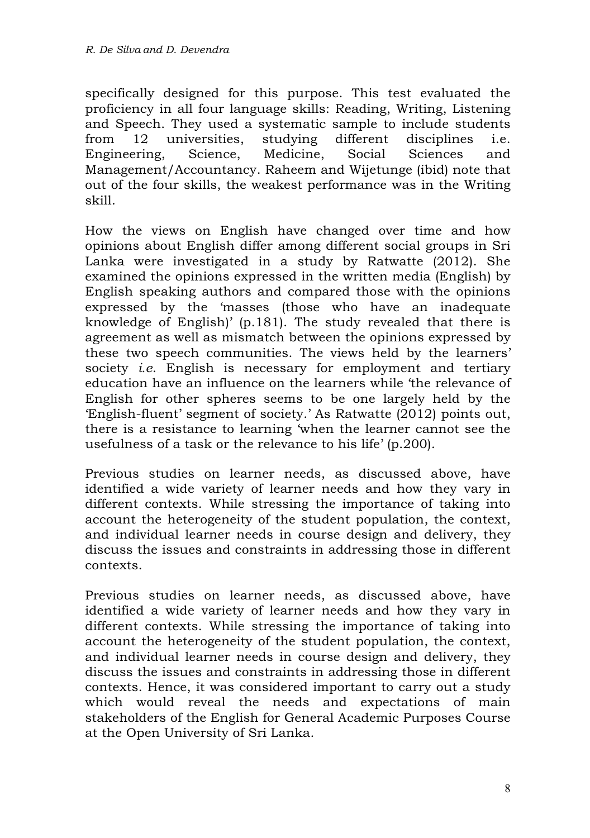specifically designed for this purpose. This test evaluated the proficiency in all four language skills: Reading, Writing, Listening and Speech. They used a systematic sample to include students from 12 universities, studying different disciplines i.e. Engineering, Science, Medicine, Social Sciences and Management/Accountancy. Raheem and Wijetunge (ibid) note that out of the four skills, the weakest performance was in the Writing skill.

How the views on English have changed over time and how opinions about English differ among different social groups in Sri Lanka were investigated in a study by Ratwatte (2012). She examined the opinions expressed in the written media (English) by English speaking authors and compared those with the opinions expressed by the 'masses (those who have an inadequate knowledge of English)' (p.181). The study revealed that there is agreement as well as mismatch between the opinions expressed by these two speech communities. The views held by the learners' society *i.e*. English is necessary for employment and tertiary education have an influence on the learners while 'the relevance of English for other spheres seems to be one largely held by the 'English-fluent' segment of society.' As Ratwatte (2012) points out, there is a resistance to learning 'when the learner cannot see the usefulness of a task or the relevance to his life' (p.200).

Previous studies on learner needs, as discussed above, have identified a wide variety of learner needs and how they vary in different contexts. While stressing the importance of taking into account the heterogeneity of the student population, the context, and individual learner needs in course design and delivery, they discuss the issues and constraints in addressing those in different contexts.

Previous studies on learner needs, as discussed above, have identified a wide variety of learner needs and how they vary in different contexts. While stressing the importance of taking into account the heterogeneity of the student population, the context, and individual learner needs in course design and delivery, they discuss the issues and constraints in addressing those in different contexts. Hence, it was considered important to carry out a study which would reveal the needs and expectations of main stakeholders of the English for General Academic Purposes Course at the Open University of Sri Lanka.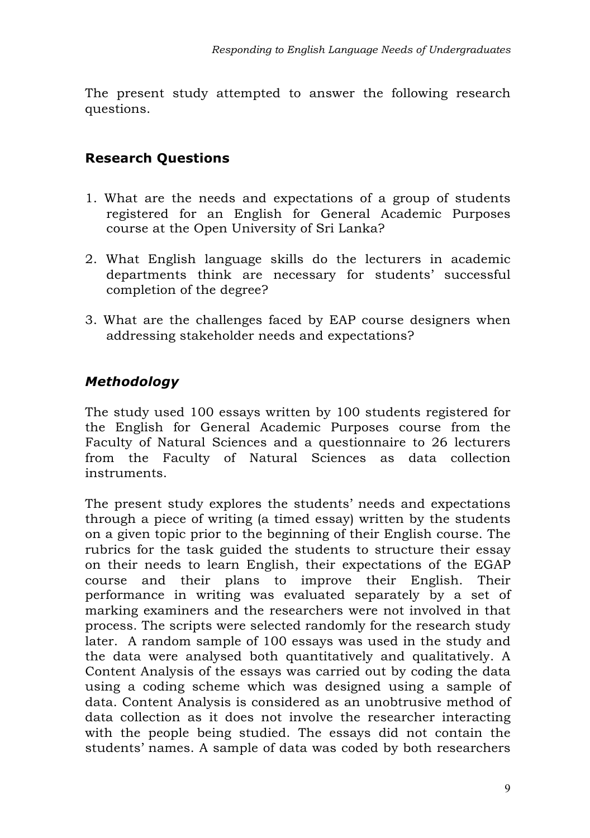The present study attempted to answer the following research questions.

## **Research Questions**

- 1. What are the needs and expectations of a group of students registered for an English for General Academic Purposes course at the Open University of Sri Lanka?
- 2. What English language skills do the lecturers in academic departments think are necessary for students' successful completion of the degree?
- 3. What are the challenges faced by EAP course designers when addressing stakeholder needs and expectations?

# *Methodology*

The study used 100 essays written by 100 students registered for the English for General Academic Purposes course from the Faculty of Natural Sciences and a questionnaire to 26 lecturers from the Faculty of Natural Sciences as data collection instruments.

The present study explores the students' needs and expectations through a piece of writing (a timed essay) written by the students on a given topic prior to the beginning of their English course. The rubrics for the task guided the students to structure their essay on their needs to learn English, their expectations of the EGAP course and their plans to improve their English. Their performance in writing was evaluated separately by a set of marking examiners and the researchers were not involved in that process. The scripts were selected randomly for the research study later. A random sample of 100 essays was used in the study and the data were analysed both quantitatively and qualitatively. A Content Analysis of the essays was carried out by coding the data using a coding scheme which was designed using a sample of data. Content Analysis is considered as an unobtrusive method of data collection as it does not involve the researcher interacting with the people being studied. The essays did not contain the students' names. A sample of data was coded by both researchers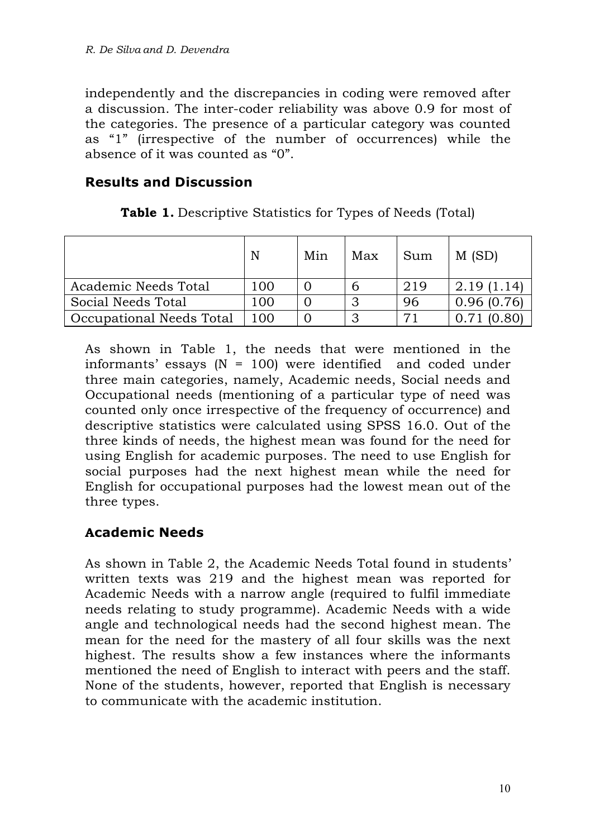independently and the discrepancies in coding were removed after a discussion. The inter-coder reliability was above 0.9 for most of the categories. The presence of a particular category was counted as "1" (irrespective of the number of occurrences) while the absence of it was counted as "0".

#### **Results and Discussion**

|                          | N   | Min | Max | Sum | M(SD)       |
|--------------------------|-----|-----|-----|-----|-------------|
| Academic Needs Total     | 100 |     | h   | 219 | 2.19 (1.14) |
| Social Needs Total       | 100 |     | ⌒   | 96  | 0.96(0.76)  |
| Occupational Needs Total | 100 |     |     | 71  |             |

**Table 1.** Descriptive Statistics for Types of Needs (Total)

As shown in Table 1, the needs that were mentioned in the informants' essays (N = 100) were identified and coded under three main categories, namely, Academic needs, Social needs and Occupational needs (mentioning of a particular type of need was counted only once irrespective of the frequency of occurrence) and descriptive statistics were calculated using SPSS 16.0. Out of the three kinds of needs, the highest mean was found for the need for using English for academic purposes. The need to use English for social purposes had the next highest mean while the need for English for occupational purposes had the lowest mean out of the three types.

### **Academic Needs**

As shown in Table 2, the Academic Needs Total found in students' written texts was 219 and the highest mean was reported for Academic Needs with a narrow angle (required to fulfil immediate needs relating to study programme). Academic Needs with a wide angle and technological needs had the second highest mean. The mean for the need for the mastery of all four skills was the next highest. The results show a few instances where the informants mentioned the need of English to interact with peers and the staff. None of the students, however, reported that English is necessary to communicate with the academic institution.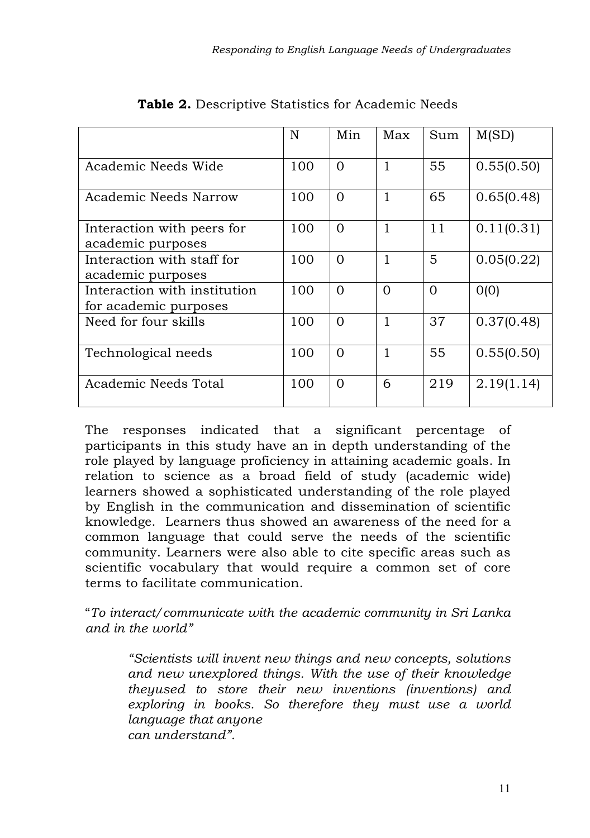|                                                       | N   | Min      | Max          | Sum      | M(SD)      |
|-------------------------------------------------------|-----|----------|--------------|----------|------------|
| Academic Needs Wide                                   | 100 | $\Omega$ | $\mathbf{1}$ | 55       | 0.55(0.50) |
| Academic Needs Narrow                                 | 100 | $\Omega$ | $\mathbf{1}$ | 65       | 0.65(0.48) |
| Interaction with peers for<br>academic purposes       | 100 | $\Omega$ | $\mathbf{1}$ | 11       | 0.11(0.31) |
| Interaction with staff for<br>academic purposes       | 100 | $\Omega$ | $\mathbf{1}$ | 5        | 0.05(0.22) |
| Interaction with institution<br>for academic purposes | 100 | $\Omega$ | $\Omega$     | $\Omega$ | O(0)       |
| Need for four skills                                  | 100 | $\Omega$ | $\mathbf{1}$ | 37       | 0.37(0.48) |
| Technological needs                                   | 100 | $\Omega$ | $\mathbf{1}$ | 55       | 0.55(0.50) |
| Academic Needs Total                                  | 100 | $\Omega$ | 6            | 219      | 2.19(1.14) |

|  | <b>Table 2.</b> Descriptive Statistics for Academic Needs |  |  |
|--|-----------------------------------------------------------|--|--|
|  |                                                           |  |  |

The responses indicated that a significant percentage of participants in this study have an in depth understanding of the role played by language proficiency in attaining academic goals. In relation to science as a broad field of study (academic wide) learners showed a sophisticated understanding of the role played by English in the communication and dissemination of scientific knowledge. Learners thus showed an awareness of the need for a common language that could serve the needs of the scientific community. Learners were also able to cite specific areas such as scientific vocabulary that would require a common set of core terms to facilitate communication.

"*To interact/communicate with the academic community in Sri Lanka and in the world"*

*"Scientists will invent new things and new concepts, solutions and new unexplored things. With the use of their knowledge theyused to store their new inventions (inventions) and exploring in books. So therefore they must use a world language that anyone can understand".*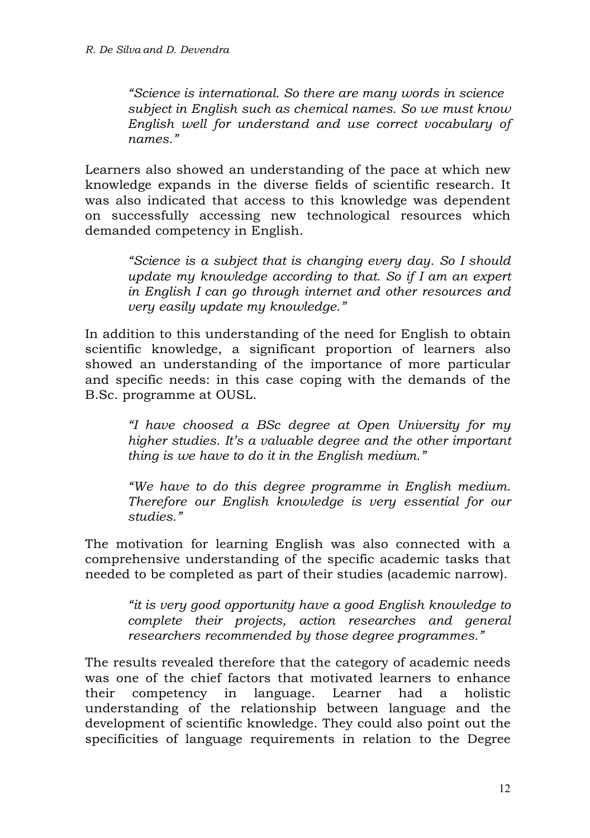*"Science is international. So there are many words in science subject in English such as chemical names. So we must know English well for understand and use correct vocabulary of names."*

Learners also showed an understanding of the pace at which new knowledge expands in the diverse fields of scientific research. It was also indicated that access to this knowledge was dependent on successfully accessing new technological resources which demanded competency in English.

> *"Science is a subject that is changing every day. So I should update my knowledge according to that. So if I am an expert in English I can go through internet and other resources and very easily update my knowledge."*

In addition to this understanding of the need for English to obtain scientific knowledge, a significant proportion of learners also showed an understanding of the importance of more particular and specific needs: in this case coping with the demands of the B.Sc. programme at OUSL.

*"I have choosed a BSc degree at Open University for my higher studies. It's a valuable degree and the other important thing is we have to do it in the English medium."*

*"We have to do this degree programme in English medium. Therefore our English knowledge is very essential for our studies."*

The motivation for learning English was also connected with a comprehensive understanding of the specific academic tasks that needed to be completed as part of their studies (academic narrow).

*"it is very good opportunity have a good English knowledge to complete their projects, action researches and general researchers recommended by those degree programmes."* 

The results revealed therefore that the category of academic needs was one of the chief factors that motivated learners to enhance their competency in language. Learner had a holistic understanding of the relationship between language and the development of scientific knowledge. They could also point out the specificities of language requirements in relation to the Degree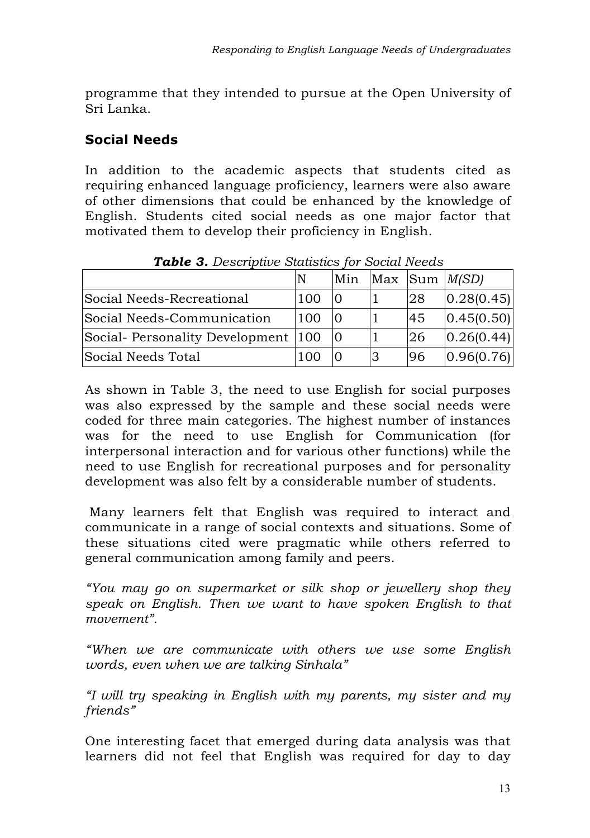programme that they intended to pursue at the Open University of Sri Lanka.

# **Social Needs**

In addition to the academic aspects that students cited as requiring enhanced language proficiency, learners were also aware of other dimensions that could be enhanced by the knowledge of English. Students cited social needs as one major factor that motivated them to develop their proficiency in English.

|                                    | ۱N  | Min |   |    | $Max$ Sum $M(SD)$ |
|------------------------------------|-----|-----|---|----|-------------------|
| Social Needs-Recreational          | 100 | 10  |   | 28 | 0.28(0.45)        |
| Social Needs-Communication         | 100 | 10  |   | 45 | 0.45(0.50)        |
| Social-Personality Development 100 |     |     |   | 26 | 0.26(0.44)        |
| Social Needs Total                 | 100 |     | 3 | 96 | 0.96(0.76)        |

*Table 3. Descriptive Statistics for Social Needs*

As shown in Table 3, the need to use English for social purposes was also expressed by the sample and these social needs were coded for three main categories. The highest number of instances was for the need to use English for Communication (for interpersonal interaction and for various other functions) while the need to use English for recreational purposes and for personality development was also felt by a considerable number of students.

Many learners felt that English was required to interact and communicate in a range of social contexts and situations. Some of these situations cited were pragmatic while others referred to general communication among family and peers.

*"You may go on supermarket or silk shop or jewellery shop they speak on English. Then we want to have spoken English to that movement".*

*"When we are communicate with others we use some English words, even when we are talking Sinhala"*

*"I will try speaking in English with my parents, my sister and my friends"*

One interesting facet that emerged during data analysis was that learners did not feel that English was required for day to day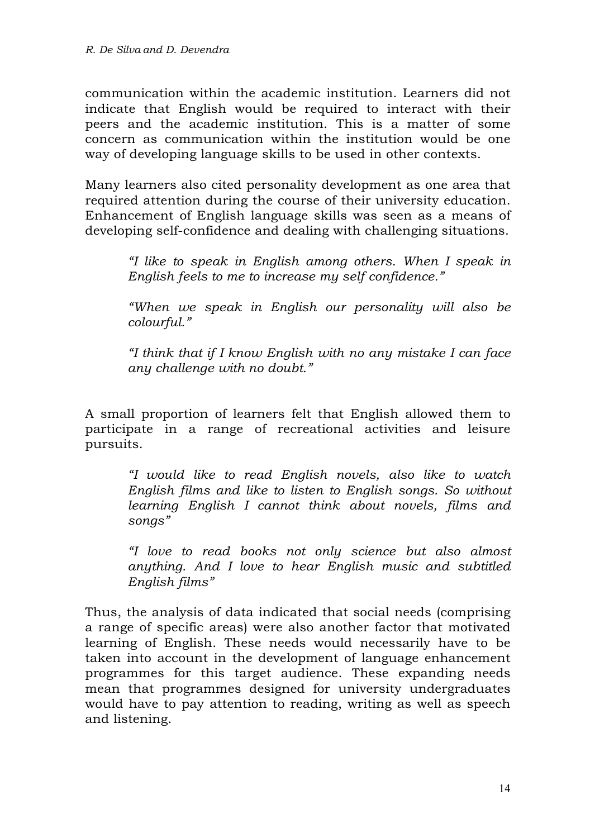communication within the academic institution. Learners did not indicate that English would be required to interact with their peers and the academic institution. This is a matter of some concern as communication within the institution would be one way of developing language skills to be used in other contexts.

Many learners also cited personality development as one area that required attention during the course of their university education. Enhancement of English language skills was seen as a means of developing self-confidence and dealing with challenging situations.

> *"I like to speak in English among others. When I speak in English feels to me to increase my self confidence."*

> *"When we speak in English our personality will also be colourful."*

> *"I think that if I know English with no any mistake I can face any challenge with no doubt."*

A small proportion of learners felt that English allowed them to participate in a range of recreational activities and leisure pursuits.

> *"I would like to read English novels, also like to watch English films and like to listen to English songs. So without learning English I cannot think about novels, films and songs"*

> *"I love to read books not only science but also almost anything. And I love to hear English music and subtitled English films"*

Thus, the analysis of data indicated that social needs (comprising a range of specific areas) were also another factor that motivated learning of English. These needs would necessarily have to be taken into account in the development of language enhancement programmes for this target audience. These expanding needs mean that programmes designed for university undergraduates would have to pay attention to reading, writing as well as speech and listening.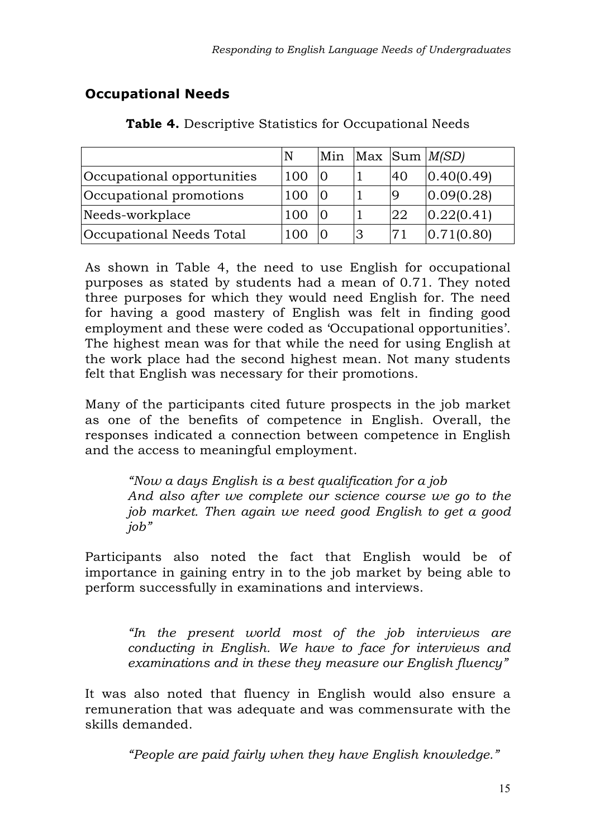# **Occupational Needs**

|                            | N   |    |    | Min $Max$ Sum $M(SD)$ |
|----------------------------|-----|----|----|-----------------------|
| Occupational opportunities | 100 |    | 40 | 0.40(0.49)            |
| Occupational promotions    | 100 |    |    | 0.09(0.28)            |
| Needs-workplace            | 100 |    | 22 | 0.22(0.41)            |
| Occupational Needs Total   |     | lЗ |    | 0.71(0.80)            |

**Table 4.** Descriptive Statistics for Occupational Needs

As shown in Table 4, the need to use English for occupational purposes as stated by students had a mean of 0.71. They noted three purposes for which they would need English for. The need for having a good mastery of English was felt in finding good employment and these were coded as 'Occupational opportunities'. The highest mean was for that while the need for using English at the work place had the second highest mean. Not many students felt that English was necessary for their promotions.

Many of the participants cited future prospects in the job market as one of the benefits of competence in English. Overall, the responses indicated a connection between competence in English and the access to meaningful employment.

*"Now a days English is a best qualification for a job And also after we complete our science course we go to the job market. Then again we need good English to get a good job"*

Participants also noted the fact that English would be of importance in gaining entry in to the job market by being able to perform successfully in examinations and interviews.

> *"In the present world most of the job interviews are conducting in English. We have to face for interviews and examinations and in these they measure our English fluency"*

It was also noted that fluency in English would also ensure a remuneration that was adequate and was commensurate with the skills demanded.

*"People are paid fairly when they have English knowledge."*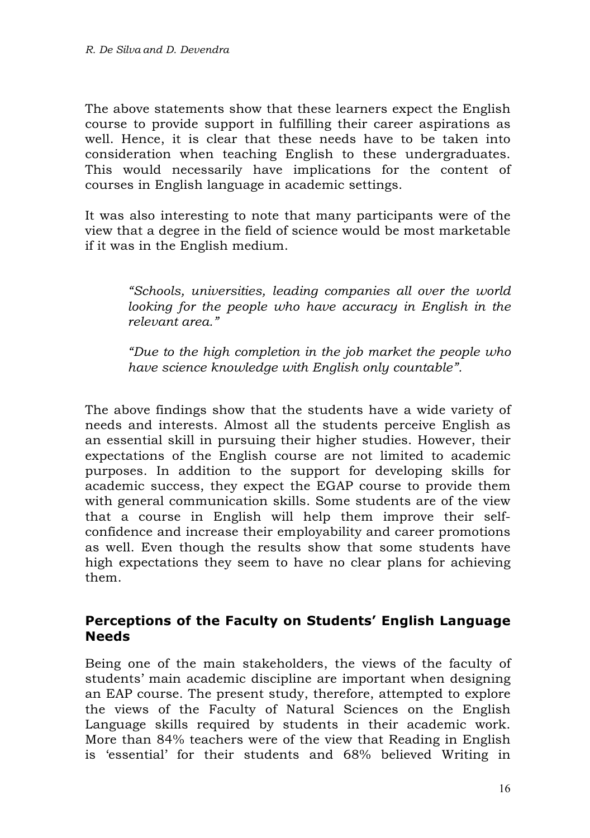The above statements show that these learners expect the English course to provide support in fulfilling their career aspirations as well. Hence, it is clear that these needs have to be taken into consideration when teaching English to these undergraduates. This would necessarily have implications for the content of courses in English language in academic settings.

It was also interesting to note that many participants were of the view that a degree in the field of science would be most marketable if it was in the English medium.

*"Schools, universities, leading companies all over the world looking for the people who have accuracy in English in the relevant area."*

*"Due to the high completion in the job market the people who have science knowledge with English only countable".* 

The above findings show that the students have a wide variety of needs and interests. Almost all the students perceive English as an essential skill in pursuing their higher studies. However, their expectations of the English course are not limited to academic purposes. In addition to the support for developing skills for academic success, they expect the EGAP course to provide them with general communication skills. Some students are of the view that a course in English will help them improve their selfconfidence and increase their employability and career promotions as well. Even though the results show that some students have high expectations they seem to have no clear plans for achieving them.

#### **Perceptions of the Faculty on Students' English Language Needs**

Being one of the main stakeholders, the views of the faculty of students' main academic discipline are important when designing an EAP course. The present study, therefore, attempted to explore the views of the Faculty of Natural Sciences on the English Language skills required by students in their academic work. More than 84% teachers were of the view that Reading in English is 'essential' for their students and 68% believed Writing in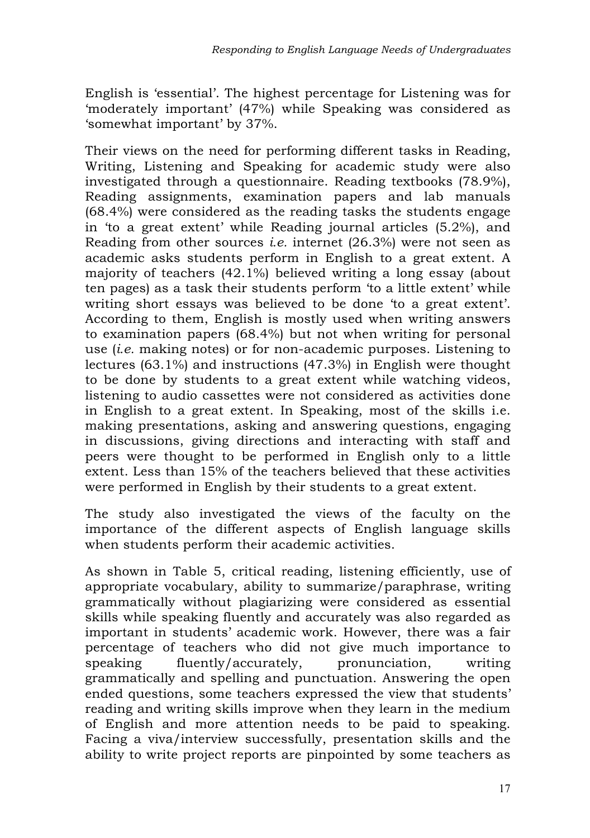English is 'essential'. The highest percentage for Listening was for 'moderately important' (47%) while Speaking was considered as 'somewhat important' by 37%.

Their views on the need for performing different tasks in Reading, Writing, Listening and Speaking for academic study were also investigated through a questionnaire. Reading textbooks (78.9%), Reading assignments, examination papers and lab manuals (68.4%) were considered as the reading tasks the students engage in 'to a great extent' while Reading journal articles (5.2%), and Reading from other sources *i.e.* internet (26.3%) were not seen as academic asks students perform in English to a great extent. A majority of teachers (42.1%) believed writing a long essay (about ten pages) as a task their students perform 'to a little extent' while writing short essays was believed to be done 'to a great extent'. According to them, English is mostly used when writing answers to examination papers (68.4%) but not when writing for personal use (*i.e.* making notes) or for non-academic purposes. Listening to lectures (63.1%) and instructions (47.3%) in English were thought to be done by students to a great extent while watching videos, listening to audio cassettes were not considered as activities done in English to a great extent. In Speaking, most of the skills i.e. making presentations, asking and answering questions, engaging in discussions, giving directions and interacting with staff and peers were thought to be performed in English only to a little extent. Less than 15% of the teachers believed that these activities were performed in English by their students to a great extent.

The study also investigated the views of the faculty on the importance of the different aspects of English language skills when students perform their academic activities.

As shown in Table 5, critical reading, listening efficiently, use of appropriate vocabulary, ability to summarize/paraphrase, writing grammatically without plagiarizing were considered as essential skills while speaking fluently and accurately was also regarded as important in students' academic work. However, there was a fair percentage of teachers who did not give much importance to speaking fluently/accurately, pronunciation, writing grammatically and spelling and punctuation. Answering the open ended questions, some teachers expressed the view that students' reading and writing skills improve when they learn in the medium of English and more attention needs to be paid to speaking. Facing a viva/interview successfully, presentation skills and the ability to write project reports are pinpointed by some teachers as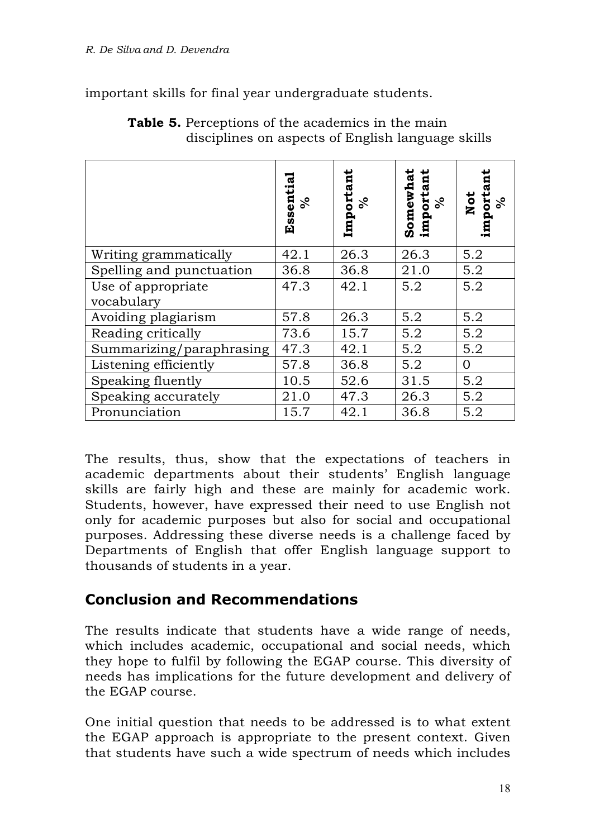important skills for final year undergraduate students.

|                                  | tia.<br>Essent<br>వి | Important<br>వి | Somewhat<br>important<br>$\%$ | importan<br>%<br>Not |
|----------------------------------|----------------------|-----------------|-------------------------------|----------------------|
| Writing grammatically            | 42.1                 | 26.3            | 26.3                          | 5.2                  |
| Spelling and punctuation         | 36.8                 | 36.8            | 21.0                          | 5.2                  |
| Use of appropriate<br>vocabulary | 47.3                 | 42.1            | 5.2                           | 5.2                  |
| Avoiding plagiarism              | 57.8                 | 26.3            | 5.2                           | 5.2                  |
| Reading critically               | 73.6                 | 15.7            | 5.2                           | 5.2                  |
| Summarizing/paraphrasing         | 47.3                 | 42.1            | 5.2                           | 5.2                  |
| Listening efficiently            | 57.8                 | 36.8            | 5.2                           | $\Omega$             |
| Speaking fluently                | 10.5                 | 52.6            | 31.5                          | 5.2                  |
| Speaking accurately              | 21.0                 | 47.3            | 26.3                          | 5.2                  |
| Pronunciation                    | 15.7                 | 42.1            | 36.8                          | 5.2                  |

**Table 5.** Perceptions of the academics in the main disciplines on aspects of English language skills

The results, thus, show that the expectations of teachers in academic departments about their students' English language skills are fairly high and these are mainly for academic work. Students, however, have expressed their need to use English not only for academic purposes but also for social and occupational purposes. Addressing these diverse needs is a challenge faced by Departments of English that offer English language support to thousands of students in a year.

# **Conclusion and Recommendations**

The results indicate that students have a wide range of needs, which includes academic, occupational and social needs, which they hope to fulfil by following the EGAP course. This diversity of needs has implications for the future development and delivery of the EGAP course.

One initial question that needs to be addressed is to what extent the EGAP approach is appropriate to the present context. Given that students have such a wide spectrum of needs which includes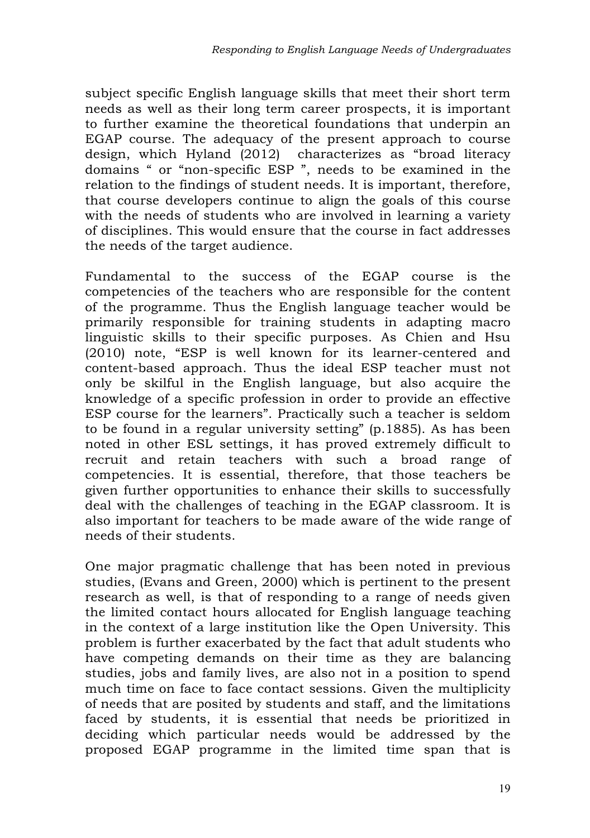subject specific English language skills that meet their short term needs as well as their long term career prospects, it is important to further examine the theoretical foundations that underpin an EGAP course. The adequacy of the present approach to course design, which Hyland (2012) characterizes as "broad literacy domains " or "non-specific ESP ", needs to be examined in the relation to the findings of student needs. It is important, therefore, that course developers continue to align the goals of this course with the needs of students who are involved in learning a variety of disciplines. This would ensure that the course in fact addresses the needs of the target audience.

Fundamental to the success of the EGAP course is the competencies of the teachers who are responsible for the content of the programme. Thus the English language teacher would be primarily responsible for training students in adapting macro linguistic skills to their specific purposes. As Chien and Hsu (2010) note, "ESP is well known for its learner-centered and content-based approach. Thus the ideal ESP teacher must not only be skilful in the English language, but also acquire the knowledge of a specific profession in order to provide an effective ESP course for the learners". Practically such a teacher is seldom to be found in a regular university setting" (p.1885). As has been noted in other ESL settings, it has proved extremely difficult to recruit and retain teachers with such a broad range of competencies. It is essential, therefore, that those teachers be given further opportunities to enhance their skills to successfully deal with the challenges of teaching in the EGAP classroom. It is also important for teachers to be made aware of the wide range of needs of their students.

One major pragmatic challenge that has been noted in previous studies, (Evans and Green, 2000) which is pertinent to the present research as well, is that of responding to a range of needs given the limited contact hours allocated for English language teaching in the context of a large institution like the Open University. This problem is further exacerbated by the fact that adult students who have competing demands on their time as they are balancing studies, jobs and family lives, are also not in a position to spend much time on face to face contact sessions. Given the multiplicity of needs that are posited by students and staff, and the limitations faced by students, it is essential that needs be prioritized in deciding which particular needs would be addressed by the proposed EGAP programme in the limited time span that is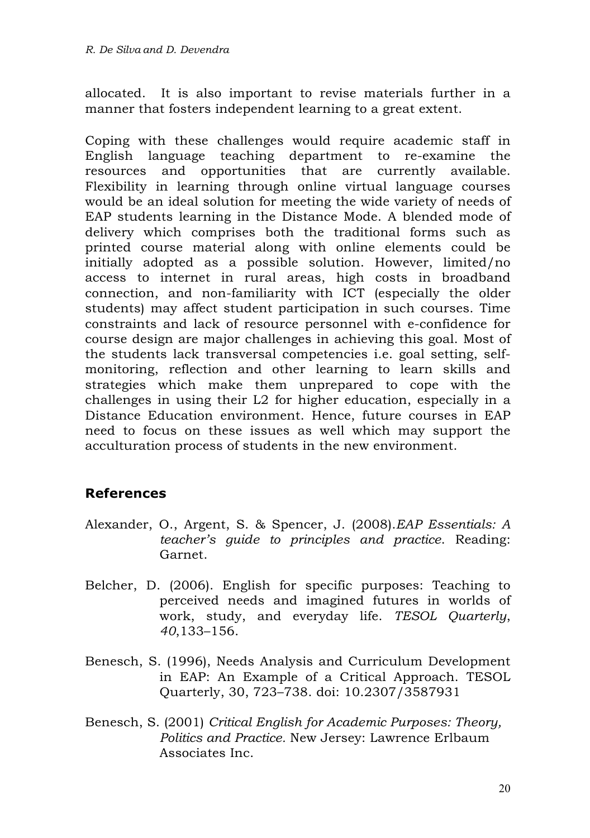allocated. It is also important to revise materials further in a manner that fosters independent learning to a great extent.

Coping with these challenges would require academic staff in English language teaching department to re-examine the resources and opportunities that are currently available. Flexibility in learning through online virtual language courses would be an ideal solution for meeting the wide variety of needs of EAP students learning in the Distance Mode. A blended mode of delivery which comprises both the traditional forms such as printed course material along with online elements could be initially adopted as a possible solution. However, limited/no access to internet in rural areas, high costs in broadband connection, and non-familiarity with ICT (especially the older students) may affect student participation in such courses. Time constraints and lack of resource personnel with e-confidence for course design are major challenges in achieving this goal. Most of the students lack transversal competencies i.e. goal setting, selfmonitoring, reflection and other learning to learn skills and strategies which make them unprepared to cope with the challenges in using their L2 for higher education, especially in a Distance Education environment. Hence, future courses in EAP need to focus on these issues as well which may support the acculturation process of students in the new environment.

#### **References**

- Alexander, O., Argent, S. & Spencer, J. (2008).*EAP Essentials: A teacher's guide to principles and practice*. Reading: Garnet.
- Belcher, D. (2006). English for specific purposes: Teaching to perceived needs and imagined futures in worlds of work, study, and everyday life. *TESOL Quarterly*, *40*,133–156.
- Benesch, S. (1996), Needs Analysis and Curriculum Development in EAP: An Example of a Critical Approach. TESOL Quarterly, 30, 723–738. doi: 10.2307/3587931
- Benesch, S. (2001) *Critical English for Academic Purposes: Theory, Politics and Practice.* New Jersey: Lawrence Erlbaum Associates Inc.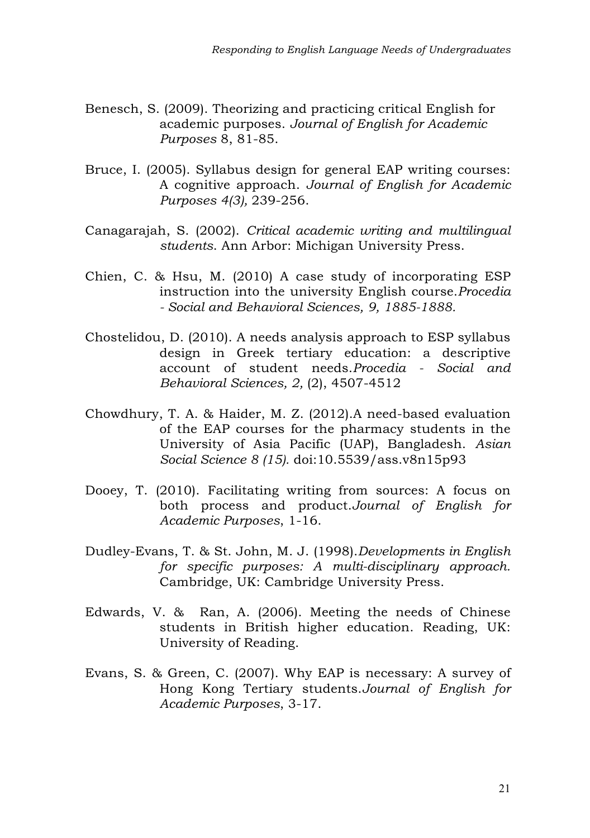- Benesch, S. (2009). Theorizing and practicing critical English for academic purposes. *Journal of English for Academic Purposes* 8, 81-85.
- Bruce, I. (2005). Syllabus design for general EAP writing courses: A cognitive approach. *Journal of English for Academic Purposes 4(3),* 239-256.
- Canagarajah, S. (2002). *Critical academic writing and multilingual students*. Ann Arbor: Michigan University Press.
- Chien, C. & Hsu, M. (2010) A case study of incorporating ESP instruction into the university English course.*Procedia - Social and Behavioral Sciences, 9, 1885-1888.*
- Chostelidou, D. (2010). A needs analysis approach to ESP syllabus design in Greek tertiary education: a descriptive account of student needs.*Procedia - Social and Behavioral Sciences, 2,* (2), 4507-4512
- Chowdhury, T. A. & Haider, M. Z. (2012).A need-based evaluation of the EAP courses for the pharmacy students in the University of Asia Pacific (UAP), Bangladesh. *Asian Social Science 8 (15).* doi:10.5539/ass.v8n15p93
- Dooey, T. (2010). Facilitating writing from sources: A focus on both process and product.*Journal of English for Academic Purposes*, 1-16.
- Dudley-Evans, T. & St. John, M. J. (1998).*Developments in English for specific purposes: A multi-disciplinary approach.* Cambridge, UK: Cambridge University Press.
- Edwards, V. & Ran, A. (2006). Meeting the needs of Chinese students in British higher education. Reading, UK: University of Reading.
- Evans, S. & Green, C. (2007). Why EAP is necessary: A survey of Hong Kong Tertiary students.*Journal of English for Academic Purposes*, 3-17.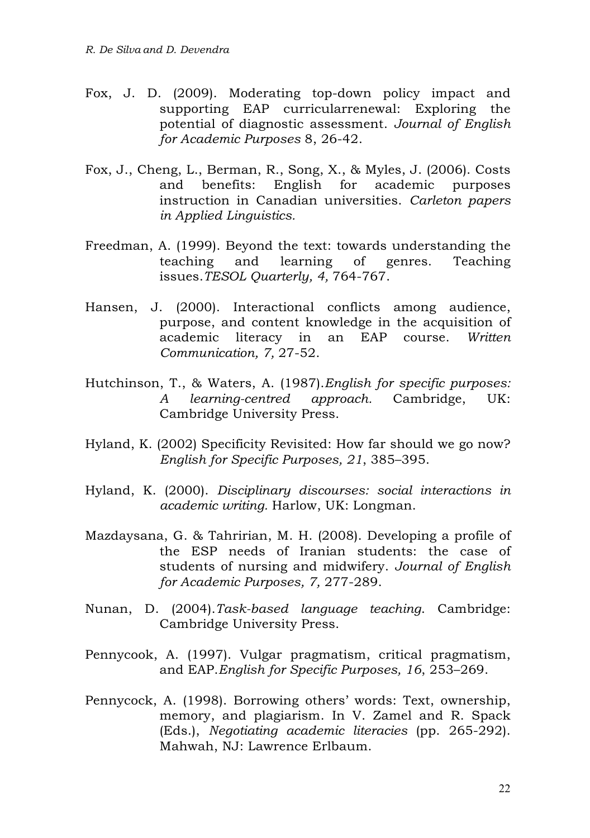- Fox, J. D. (2009). Moderating top-down policy impact and supporting EAP curricularrenewal: Exploring the potential of diagnostic assessment. *Journal of English for Academic Purposes* 8, 26-42.
- Fox, J., Cheng, L., Berman, R., Song, X., & Myles, J. (2006). Costs and benefits: English for academic purposes instruction in Canadian universities. *Carleton papers in Applied Linguistics.*
- Freedman, A. (1999). Beyond the text: towards understanding the teaching and learning of genres. Teaching issues.*TESOL Quarterly, 4,* 764-767.
- Hansen, J. (2000). Interactional conflicts among audience, purpose, and content knowledge in the acquisition of academic literacy in an EAP course. *Written Communication, 7,* 27-52.
- Hutchinson, T., & Waters, A. (1987).*English for specific purposes: A learning-centred approach.* Cambridge, UK: Cambridge University Press.
- Hyland, K. (2002) Specificity Revisited: How far should we go now? *English for Specific Purposes, 21*, 385–395.
- Hyland, K. (2000). *Disciplinary discourses: social interactions in academic writing.* Harlow, UK: Longman.
- Mazdaysana, G. & Tahririan, M. H. (2008). Developing a profile of the ESP needs of Iranian students: the case of students of nursing and midwifery. *Journal of English for Academic Purposes, 7,* 277-289.
- Nunan, D. (2004).*Task-based language teaching*. Cambridge: Cambridge University Press.
- Pennycook, A. (1997). Vulgar pragmatism, critical pragmatism, and EAP.*English for Specific Purposes, 16*, 253–269.
- Pennycock, A. (1998). Borrowing others' words: Text, ownership, memory, and plagiarism. In V. Zamel and R. Spack (Eds.), *Negotiating academic literacies* (pp. 265-292). Mahwah, NJ: Lawrence Erlbaum.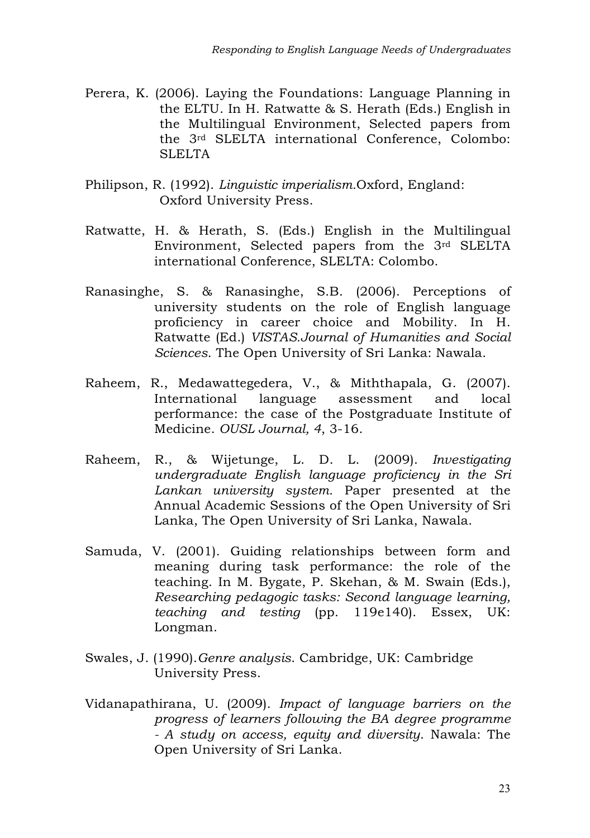- Perera, K. (2006). Laying the Foundations: Language Planning in the ELTU. In H. Ratwatte & S. Herath (Eds.) English in the Multilingual Environment, Selected papers from the 3rd SLELTA international Conference, Colombo: SLELTA
- Philipson, R. (1992). *Linguistic imperialism.*Oxford, England: Oxford University Press.
- Ratwatte, H. & Herath, S. (Eds.) English in the Multilingual Environment, Selected papers from the 3rd SLELTA international Conference, SLELTA: Colombo.
- Ranasinghe, S. & Ranasinghe, S.B. (2006). Perceptions of university students on the role of English language proficiency in career choice and Mobility. In H. Ratwatte (Ed.) *VISTAS.Journal of Humanities and Social Sciences*. The Open University of Sri Lanka: Nawala.
- Raheem, R., Medawattegedera, V., & Miththapala, G. (2007). International language assessment and local performance: the case of the Postgraduate Institute of Medicine. *OUSL Journal, 4*, 3-16.
- Raheem, R., & Wijetunge, L. D. L. (2009). *Investigating undergraduate English language proficiency in the Sri Lankan university system.* Paper presented at the Annual Academic Sessions of the Open University of Sri Lanka, The Open University of Sri Lanka, Nawala.
- Samuda, V. (2001). Guiding relationships between form and meaning during task performance: the role of the teaching. In M. Bygate, P. Skehan, & M. Swain (Eds.), *Researching pedagogic tasks: Second language learning, teaching and testing* (pp. 119e140). Essex, UK: Longman.
- Swales, J. (1990).*Genre analysis*. Cambridge, UK: Cambridge University Press.
- Vidanapathirana, U. (2009). *Impact of language barriers on the progress of learners following the BA degree programme - A study on access, equity and diversity*. Nawala: The Open University of Sri Lanka.